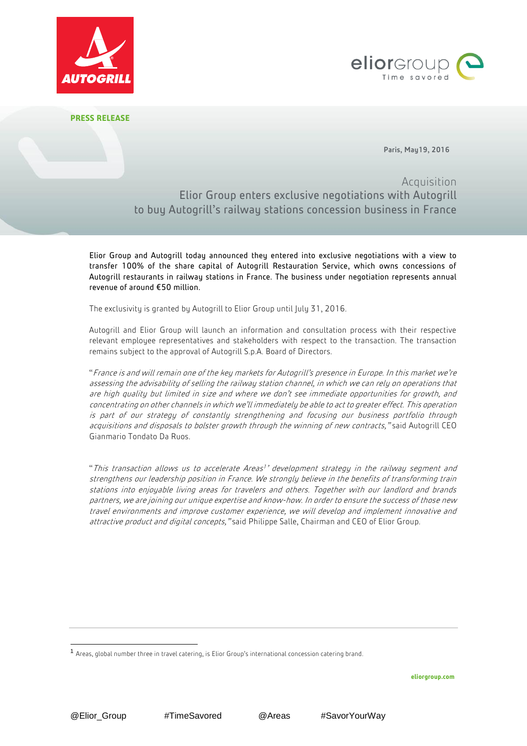



**PRESS RELEASE**

Paris, May19, 2016

Acquisition Elior Group enters exclusive negotiations with Autogrill to buy Autogrill's railway stations concession business in France

Elior Group and Autogrill today announced they entered into exclusive negotiations with a view to transfer 100% of the share capital of Autogrill Restauration Service, which owns concessions of Autogrill restaurants in railway stations in France. The business under negotiation represents annual revenue of around €50 million.

The exclusivity is granted by Autogrill to Elior Group until July 31, 2016.

Autogrill and Elior Group will launch an information and consultation process with their respective relevant employee representatives and stakeholders with respect to the transaction. The transaction remains subject to the approval of Autogrill S.p.A. Board of Directors.

"France is and will remain one of the key markets for Autogrill's presence in Europe. In this market we're assessing the advisability of selling the railway station channel, in which we can rely on operations that are high quality but limited in size and where we don't see immediate opportunities for growth, and concentrating on other channels in which we'll immediately be able to act to greater effect. This operation is part of our strategy of constantly strengthening and focusing our business portfolio through acquisitions and disposals to bolster growth through the winning of new contracts," said Autogrill CEO Gianmario Tondato Da Ruos.

"This transaction allows us to accelerate Areas<sup>1</sup>' development strategy in the railway segment and strengthens our leadership position in France. We strongly believe in the benefits of transforming train stations into enjoyable living areas for travelers and others. Together with our landlord and brands partners, we are joining our unique expertise and know-how. In order to ensure the success of those new travel environments and improve customer experience, we will develop and implement innovative and attractive product and digital concepts," said Philippe Salle, Chairman and CEO of Elior Group.

**eliorgroup.com**

1

<sup>1</sup> Areas, global number three in travel catering, is Elior Group's international concession catering brand.